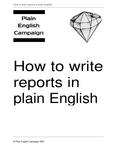Plain **English** Campaign



# How to write reports in plain English

© Plain English Campaign 2001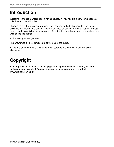# **Introduction**

Welcome to the plain English report-writing course. All you need is a pen, some paper, a little time and the will to learn.

There is no great mystery about writing clear, concise and effective reports. The writing skills you will learn in this book will work in all types of 'business' writing - letters, leaflets, memos and so on. What makes reports different is the formal way they are organised, and we'll be looking at that.

All the examples are genuine.

The answers to all the exercises are at the end of the guide.

At the end of the course is a list of common bureaucratic words with plain English alternatives.

# **Copyright**

Plain English Campaign owns the copyright on this guide. You must not copy it without getting our permission first. You can download your own copy from our website (www.plainenglish.co.uk).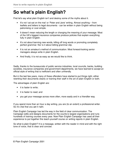# **So what's plain English?**

First let's say what plain English isn't and destroy some of the myths about it.

- It's not 'cat sat on the mat' or 'Peter and Jane' writing. Almost anything from leaflets and letters to legal documents - can be written in plain English without being patronising or over-simple.
- It doesn't mean reducing the length or changing the meaning of your message. Most of the UK's biggest insurance companies produce policies that explain everything fully in plain English.
- It's not about banning new words, killing off long words or promoting completely perfect grammar. Nor is it about letting grammar slip.
- It is not an amateur's method of communication. Most forward-looking senior managers always write in plain English.
- And finally, it is not as easy as we would like to think.

Sadly, thanks to the bureaucrats of public service industries, local councils, banks, building societies, insurance companies and government departments, we have learned to accept an official style of writing that is inefficient and often unfriendly.

But in the last few years, many of these offenders have started to put things right, either rewriting their documents clearly or training their staff in the art of plain English or both.

The advantages of plain English are:

- it is faster to write;
- it is faster to read; and
- you get your message across more often, more easily and in a friendlier way.

If you spend more than an hour a day writing, you are (to an extent) a professional writer. So it's vital that you get it right.

Plain English Campaign has led the way in the field of clear communication. The Campaign edits and designs documents for the country's largest organisations and runs hundreds of training courses every year. Now Plain English Campaign has used all their experience to put together this teach-yourself course on writing reports in plain English.

So what is plain English? It is a message, written with the reader in mind and with the right tone of voice, that is clear and concise.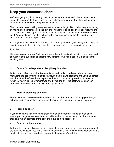## **Keep your sentences short**

We're not going to join in the argument about 'what is a sentence?'. Just think of it as a complete statement that can stand by itself. Most experts agree that clear writing should have an average sentence length of 15-20 words.

This does not mean making every sentence the same length. Be punchy. Vary your writing by mixing short sentences (like the last one) with longer ones (like this one), following the basic principle of sticking to one main idea in a sentence, plus perhaps one other related point. You should soon be able to keep to the average sentence length - used by top journalists and authors - quite easily.

At first you may still find yourself writing the odd long sentence, especially when trying to explain a complicated point. But most long sentences can be broken up in some way.

#### **Exercise**

Here are some examples. Split them where suitable by putting in full stops. You may need to put in or take out words so that the new sentences will make sense. But don't change anything else.

#### **1 From a formal report of a disciplinary interview**

I raised your difficulty about arriving ready for work on time and pointed out that your managers had done their best to take account of your travel problems and you had agreed with them that the Green Lane depot was the most convenient place for you to work, however, your initial improvement was short-lived and over the past two months your punctuality has dropped to a totally unacceptable level.

#### **2 From an electricity company**

I do not seem to have received the information required from you to set up your budget scheme, and I now enclose the relevant form and ask that you fill it in and return it.

#### **3 From a solicitor**

If you could let me have the latest typed version of the form in the next seven days, whereupon I suggest we meet here on 19 December to finalise the text so that you could then give me an estimate of the cost of producing a typeset proof.

#### **4 From a credit company**

I refer to the earlier notice served in respect of your account as the arrears now amount to the sum shown above, you leave me with no alternative than to commence court action and details of your account have been referred to the company's solicitor.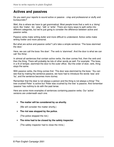## **Actives and passives**

Do you want your reports to sound active or passive - crisp and professional or stuffy and bureaucratic?

Well, this is where we have to get grammatical. Most people know that a verb is a 'doing' word, like 'make', 'do', 'play', 'talk' or 'write'. There are many ways to split verbs into different categories, but we're just going to consider the difference between active and passive verbs.

Passive verbs make writing duller and more difficult to understand. Active verbs make writing livelier and more personal.

But what are active and passive verbs? Let's take a simple sentence: 'The boss slammed the door.'

Here, we can call the boss 'the doer'. The verb is 'slammed'. And the door is what we can call 'the thing'.

In almost all sentences that contain active verbs, the doer comes first, then the verb and then the thing. There will probably be lots of other words as well. For example: 'The boss, in a fit of temper, slammed the door to the outer office.' But the order of doer, verb, thing stays the same.

With passive verbs, the thing comes first: 'The door was slammed by the boss.' You can see that by making the sentence passive, we have had to introduce the words 'was' and 'by', and the sentence becomes more clumsy.

Remember that the doer is not always a person and the thing is not always a thing! 'The tree crushed Peter' is active but 'Peter was crushed by the tree' is passive. And remember 'passive' has nothing to do with the past tense.

Here are some more examples of sentences containing passive verbs. Our 'active' versions are underneath each one.

#### • **The matter will be considered by us shortly.**

(We will consider the matter shortly.)

• **The riot was stopped by the police.**

(The police stopped the riot.)

• **The mine had to be closed by the safety inspector**.

(The safety inspector had to close the mine.)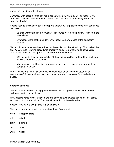Sometimes the doer gets left out.

Sentences with passive verbs can make sense without having a doer. For instance, 'the door was slammed', 'the cheque had been cashed' and 'the report is being written' all leave out the doer.

People used to officialese often write reports that are full of passive verbs, with sentences like these.

- 35 sites were visited in three weeks. Procedures were being properly followed at the sites visited.
- Overheads were not kept under control despite an awareness of the budgetary situation.

Neither of these sentences has a doer. So the reader may be left asking, 'Who visited the sites?', 'Who was following procedures properly?' and so on. Changing to active verbs reveals the 'doers' and sharpens up dull and unclear sentences.

- We visited 35 sites in three weeks. At the sites we visited, we found that staff were following procedures properly.
- Managers were not keeping overheads under control, despite knowing about the budgetary situation.

You will notice that in the last sentence we have used an active verb instead of 'an awareness of'. As we shall see later this is an example of changing a 'nominalisation' into a verb.

#### **Spotting passives**

There is another way of spotting passive verbs which is especially useful when the doer isn't mentioned in the sentence.

First, passive verbs almost always have one of the following words added on - be, being, am, are, is, was, were, will be. They are all formed from the verb 'to be'.

Second, they have a thing called a 'past participle'.

This table shows you how to get a past participle from a verb.

| <b>Verb</b> | <b>Past participle</b> |
|-------------|------------------------|
| ask         | asked                  |
| claim       | claimed                |
| do          | done                   |
| write       | written                |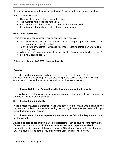So a complete passive verb could be 'will be done', 'has been formed' or 'was watched'.

Here are some examples:

- Care should be taken when opening the door.
- The outcome will be decided next week.
- Applicants will only be accepted if proof of purchase is enclosed.
- It can be done.The problem could not have been foreseen.

#### **Good uses of passives**

There are times of course when it makes sense to use a passive.

- To make something less hostile 'this bill has not been paid' (passive) is softer than 'you have not paid this bill' (active).
- To avoid taking the blame 'a mistake was made' (passive) rather than 'we made a mistake' (active).
- When you don't know who or what the doer is 'the England team has been picked'.
- If it simply sounds better.

But aim to make about 80-90% of your verbs active.

#### **Exercise**

The difference between active and passive verbs is not easy to grasp. So if you are confused, read this section again. If you are not, spot the passive verbs in the following examples and change the sentences around so that they use active verbs.

#### **1 From a DVLA letter (you will need to invent a doer for the first verb)**

The tax disc was sent to you at the address on your application form but it was returned by the Post Office as undeliverable mail.

#### **2 From a building society**

In the Investment Account Statement which was sent to you recently, it was indicated by us that we would write to you again concerning the monthly interest that has been paid to you under the terms of your account.

#### **3 From a council leaflet to parents (use 'we' for the Education Department, 'you' for the parent).**

Advice must also be sought from any other professional likely to have relevant information. If there is anyone whom you think should be consulted, for example a specialist doctor your child is seeing, please let the Area Education Office know. Every professional whose advice is sought will be sent a copy of any information that is provided by you.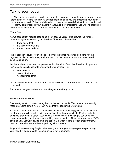### **Talk to your reader**

Write with your reader in mind. If you want to encourage people to read your report, give them a piece of writing that is lively and readable. Imagine you are presenting your report to your reader yourself. Think carefully: What do they know already? What do you need to tell them? Talk directly to your readers in language they understand. You will find that using shorter sentences and active verbs will already have made a difference.

#### **'I' and 'we'**

As we said earlier, reports used to be full of passive verbs. This allowed the writer to remain anonymous by leaving out the doer. They used phrases like:

- it was found that:
- it is accepted that; and
- it is recommended that.

The reason (or excuse) for this used to be that the writer was writing on behalf of the organisation. But usually everyone knows who has written the report, who interviewed people and so on.

Let the readers know there is a person behind the print. It's not just friendlier; 'I', 'you' and 'we' are also usually easier to understand. Use phrases like:

- we found that:
- laccept that; and
- we recommend that.

Obviously you will use 'I' if the report is all your own work, and 'we' if you are reporting on a team effort.

But be sure that your audience knows who you are talking about.

#### **Understandable words**

Say exactly what you mean, using the simplest words that fit. This does not necessarily mean only using simple words - just words that the reader will understand.

At the end of the course is a list of a few of the words that we suggest you avoid. But for most words you will have to decide yourself whether they are suitable. Most importantly, don't use jargon that is part of your working life unless you are writing to someone who uses the same jargon. If a teacher is writing to an education officer, the jargon word 'SATs' could be very useful in saving time and space. But when writing a report that parents will read, you wouldn't use it without explaining what it means.

In general, use everyday English whenever you can. Again, imagine you are presenting your report in person. Write to communicate, not to impress.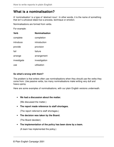## **What is a nominalisation?**

A 'nominalisation' is a type of 'abstract noun'. In other words, it is the name of something that isn't a physical object but a process, technique or emotion.

Nominalisations are formed from verbs.

For example:

| <b>Verb</b> | <b>Nominalisation</b> |
|-------------|-----------------------|
| complete    | completion            |
| introduce   | introduction          |
| provide     | provision             |
| fail        | failure               |
| arrange     | arrangement           |
| investigate | investigation         |
| use         | utilisation           |

#### **So what's wrong with them?**

The problem is that writers often use nominalisations when they should use the verbs they come from. Like passive verbs, too many nominalisations make writing very dull and heavy-going.

Here are some examples of nominalisations, with our plain English versions underneath.

#### • **We had a discussion about the matter.**

(We discussed the matter.)

• **The report made reference to staff shortages.**

(The report referred to staff shortages.)

• **The decision was taken by the Board.**

(The Board decided.)

• **The implementation of the policy has been done by a team.**

(A team has implemented the policy.)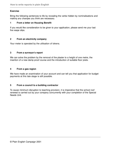#### **Exercise**

Bring the following sentences to life by revealing the verbs hidden by nominalisations and making any changes you think are necessary.

#### **1 From a letter on Housing Benefit**

If you would like consideration to be given to your application, please send me your last five wage slips.

#### **2 From an electricity company**

Your meter is operated by the utilisation of tokens.

#### **3 From a surveyor's report**

We can solve the problem by the removal of the plaster to a height of one metre, the insertion of a new damp proof course and the introduction of suitable floor joists.

#### **4 From a gas region**

We have made an examination of your account and can tell you that application for budget payments at this late stage is still possible.

#### **5 From a council to a building contractor**

To cause minimum disruption to teaching provision, it is imperative that the school roof renewal is carried out by your company concurrently with your completion of the Special Needs Unit.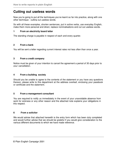## **Cutting out useless words**

Now you're going to put all the techniques you've learnt so far into practice, along with one other technique - cutting out useless words.

So with all these examples, shorten sentences, put in active verbs, use everyday English, make them more personal and direct, replace nominalisations and cut out useless words.

#### **1 From an electricity board letter**

The standing charge is payable in respect of each and every quarter.

#### **2 From a bank**

You will be sent a letter regarding current interest rates not less often than once a year.

#### **3 From a credit company**

Notice must be given of your intention to cancel the agreement a period of 30 days prior to your cancellation.

#### **4 From a building society**

Should you be unable to agree to the contents of the statement or you have any questions thereon, please write to this department at the address overleaf, enclosing your passbook or certificate and the statement.

#### **5 From a management consultant**

You are required to notify us immediately in the event of your unavoidable absence from work for sickness or any other reason and the attached note explains your obligations in this respect.

#### **6 From a solicitor**

We would advise that attached herewith is the entry form which has been duly completed and would further advise that we should be grateful if you would give consideration to the various different documents to which we have made reference.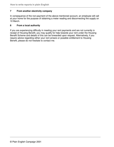#### **7 From another electricity company**

In consequence of the non-payment of the above-mentioned account, an employee will call at your home for the purpose of obtaining a meter reading and disconnecting the supply on 10 March.

#### **8 From a local authority**

If you are experiencing difficulty in meeting your rent payments and are not currently in receipt of Housing Benefit, you may qualify for help towards your rent under the Housing Benefit Scheme and details of this can be forwarded upon request. Alternatively, if you require advice regarding either your rent arrears or possible entitlement to Housing Benefit, please do not hesitate to contact me.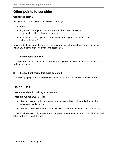## **Other points to consider**

#### **Sounding positive**

Always try to emphasise the positive side of things.

For example:

- If you don't send your payment, we won't be able to renew your membership of the scheme. (negative)
- Please send your payment so that we can renew your membership of the scheme. (positive)

Now rewrite these examples in a positive way (and use what you have learned so far to make any other changes you think are necessary).

#### **1 From a local authority**

You will reduce your chances of a council home if you do not keep your choice of areas as wide as possible.

#### **2 From a bank (make this more personal)**

No-one may apply for the scheme unless their account is credited with at least £1000.

## **Using lists**

Lists are excellent for splitting information up.

There are two main types of list.

- You can have a continuous sentence with several listed points picked out at the beginning, middle or end.
- You can have a list of separate points with an introductory statement (like this list).

In the list above, each of the points is a complete sentence so they each start with a capital letter and end with a full stop.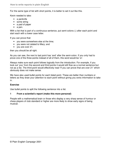For the same type of list with short points, it is better to set it out like this.

Kevin needed to take:

- a penknife
- some string
- a pad of paper
- a pen.

With a list that is part of a continuous sentence, put semi-colons (:) after each point and start each with a lower case letter.

If you can prove that:

- you were somewhere else at the time;
- you were not related to Mary; and
- you are over 21;

then you should be all right.

As you can see, the next to last point has 'and' after the semi-colon. If you only had to prove one of the three points instead of all of them, this word would be 'or'.

Always make sure each point follows logically from the introduction. For example, if you took out 'you' from the second and third points it would still flow as a normal sentence but not as a list. The third point would effectively read 'If you can prove that are over 21' which obviously does not make sense.

We have also used bullet points for each listed point. These are better than numbers or letters as they draw your attention to each point without giving you extra information to take in.

#### **Exercise**

Use bullet points to split the following sentence into a list.

#### **1 From a scientist's report (make this more personal)**

People with a mathematical brain or those who display a very sharp sense of humour or chess players of club standard or higher are more likely to show early signs of being musical.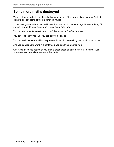## **Some more myths destroyed**

We're not trying to be trendy here by breaking some of the grammatical rules. We're just going to destroy some of the grammatical myths.

In the past, grammarians decided it was 'bad form' to do certain things. But our rule is, if it makes your sentence clearer, don't worry about 'bad form'.

You can start a sentence with 'and', 'but', 'because', 'so', 'or' or 'however'.

You can 'split infinitives'. So, you can say 'to boldly go'.

You can end a sentence with a preposition. In fact, it is something we should stand up for.

And you can repeat a word in a sentence if you can't find a better word.

Of course, this does not mean you should break these so-called 'rules' all the time - just when you want to make a sentence flow better.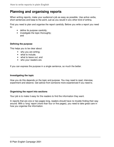## **Planning and organising reports**

When writing reports, make your audience's job as easy as possible. Use active verbs, short sentences and keep to the point, just as you would in any other kind of writing.

First you need to plan and organise the report carefully. Before you write a report you need to:

- define its purpose carefully;
- investigate the topic thoroughly; and

#### **Defining the purpose**

This helps you to be clear about:

- why you are writing;
- what to include;
- what to leave out; and
- who your readers are.

If you can express the purpose in a single sentence, so much the better.

#### **Investigating the topic**

How you do this depends on the topic and purpose. You may need to read, interview, experiment and observe. Get advice from someone more experienced if you need to.

#### **Organising the report into sections**

Your job is to make it easy for the readers to find the information they want.

In reports that are one or two pages long, readers should have no trouble finding their way around. With a 'long' report (more than four or five pages), you need to take great care in how you organise the information.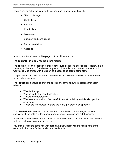Reports can be set out in eight parts, but you won't always need them all.

- Title or title page
- Contents list
- **Abstract**
- Introduction
- Discussion
- Summary and conclusions
- Recommendations
- Appendix

A short report won't need a **title page**, but should have a title.

The **contents list** is only needed in long reports.

The **abstract** is only needed in formal reports, such as reports of scientific research. It is a summary of the report. The abstract appears in library files and journals of abstracts. It won't usually be printed with the report so it needs to be able to stand alone.

Keep it between 80 and 120 words. Don't confuse this with an 'executive summary' which we will talk about later.

The **introduction** should be brief and answer any of the following questions that seem relevant.

- What is the topic?
- Who asked for the report and why?
- What is the background?
- What was your method of working? If the method is long and detailed, put it in an appendix.
- What were the sources? If there are many, put them in an appendix.

The **discussion** is the main body of the report. It is likely to be the longest section, containing all the details of the work organised under headings and sub-headings.

Few readers will read every word of this section. So start with the most important, follow it with the next most important, and so on.

You should follow the same rule with each paragraph. Begin with the main points of the paragraph, then write further details or an explanation.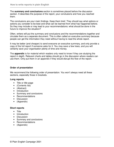The **summary and conclusions** section is sometimes placed before the discussion section. It describes the purpose of the report, your conclusions and how you reached them.

The conclusions are your main findings. Keep them brief. They should say what options or actions you consider to be best and what can be learned from what has happened before. So they may include or may lead to your recommendations: what should be done in the future to improve the situation?

Often, writers will put the summary and conclusions and the recommendations together and circulate them as a separate document. This is often called an executive summary because people can get the information they need without having to read the whole report.

It may be better (and cheaper) to send everyone an executive summary, and only provide a copy of the full report if someone asks for it. You may save a few trees, and you will certainly save your organisation plenty of time and money.

The **appendix** is for material which readers only need to know if they are studying the report in depth. Relevant charts and tables should go in the discussion where readers can use them. Only put them in an appendix if they would disrupt the flow of the report.

#### **Order of presentation**

We recommend the following order of presentation. You won't always need all these sections, especially those in brackets.

#### **Long reports**

- Title or title page
- (Contents list)
- (Abstract)
- Introduction
- Summary and conclusions
- Recommendations
- Discussion
- (Appendix)

#### **Short reports**

- Title
- Introduction
- Discussion
- Summary and conclusions
- Recommendations
- (Appendix)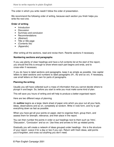The order in which you write needn't follow the order of presentation.

We recommend the following order of writing, because each section you finish helps you write the next one.

#### **Order of writing**

- Introduction
- Discussion
- Summary and conclusion
- Recommendations
- (Abstract)
- Title or title page
- (Contents list)
- (Appendix)

After writing all the sections, read and revise them. Rewrite sections if necessary.

#### **Numbering sections and paragraphs**

If you use plenty of clear headings and have a full contents list at the start of the report, you should find this is enough to show where each part begins and ends, and to cross-refer if necessary.

If you do have to label sections and paragraphs, keep it as simple as possible. Use capital letters to label sections and numbers to label paragraphs (A1, A2 and so on). If necessary, use small letters on their own for parts of paragraphs.

#### **Planning the writing**

Usually you will have collected such a mass of information that you cannot decide where to plunge in and begin. So, before you start to write you must make some kind of plan.

This will save you hours of writing and will help to produce a better-organised report.

Here are two different ways of planning.

An **outline** begins as a large, blank sheet of paper onto which you pour out all your facts, ideas, observations and so on, completely at random. Write in note form, and try to get everything down as fast as possible.

When you have got all your points on paper, start to organise them, group them, and assess them for strength, relevance, and their place in the report.

You can then number the points in order or put headings next to them such as 'Intro', 'Discussion', 'Conclusion' and so on. Use lines and arrows to link up related points.

Gradually you will create a network of ideas grouped under headings - this is the structure of your report. Leave it for a day or two if you can. Return with fresh ideas, add points you'd forgotten, and cross out anything you don't need.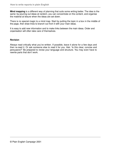**Mind mapping** is a different way of planning that suits some writing better. The idea is the same: by pouring out ideas at random, you can concentrate on the content, and organise the material at leisure when the ideas are set down.

There is no special magic to a mind map. Start by putting the topic in a box in the middle of the page, then draw lines to branch out from it with your main ideas.

It is easy to add new information and to make links between the main ideas. Order and organisation will often take care of themselves.

#### **Revision**

Always read critically what you've written. If possible, leave it alone for a few days and then re-read it. Or ask someone else to read it for you. Ask: 'Is this clear, concise and persuasive?' Be prepared to revise your language and structure. You may even have to rewrite parts that don't work.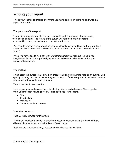## **Writing your report**

This is your chance to practise everything you have learned, by planning and writing a report from scratch.

#### **The purpose of the report**

Your senior managers want to find out how staff travel to work and what influences their choice of travel. The results of the survey will help them make decisions about working hours, car parking and travel-to-work costs.

You have to prepare a short report on your own travel options and how and why you travel as you do. Write about 250 to 350 words (about a side of A4 or 12 to 18 sentences of 20 words).

If you live very close to work (or even work from home) you will have to use a little imagination. For instance, pretend you have moved several miles away, or that your employer has moved.

#### **The method**

Think about the purpose carefully, then produce a plan using a mind map or an outline. Do it quickly, pouring out the points as they occur to you. Don't worry about neatness - no-one else needs to be able to read your plan.

Take 10 to 15 minutes over this.

Look at your plan and assess the points for importance and relevance. Then organise them under section headings. You will probably need four sections.

- Title
- Introduction
- Discussion
- Summary and conclusions

Now write the report.

Take 20 to 25 minutes for this stage.

We haven't provided a 'model' answer here because everyone using this book will have different circumstances, and will write a different report.

But there are a number of ways you can check what you have written.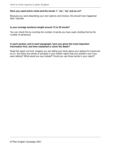#### **Have you used active verbs and the words 'I', 'me', 'my' and so on?**

Because you were describing your own options and choices, this should have happened fairly naturally.

#### **Is your average sentence length around 15 to 20 words?**

You can check this by counting the number of words you have used, dividing that by the number of sentences.

#### **In each section, and in each paragraph, have you given the most important information first, and then explained or given the detail?**

Read the report out loud. Imagine you are telling your boss about your options for travel and so on. Are there any words or phrases in your written report that you wouldn't use if you were talking? What would you say instead? Could you use those words in your report?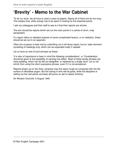# **'Brevity' - Memo to the War Cabinet**

'To do our work, we all have to read a mass of papers. Nearly all of them are far too long. This wastes time, while energy has to be spent in looking for the essential points.

I ask my colleagues and their staff to see to it that their reports are shorter.

The aim should be reports which set out the main points in a series of short, crisp paragraphs.

If a report relies on detailed analysis of some complicated factors, or on statistics, these should be set out in an appendix.

Often the occasion is best met by submitting not a full-dress report, but an 'aide-memoire' consisting of headings only, which can be expanded orally if needed.

Let us have an end of such phrases as these:

'It is also of importance to bear in mind the following considerations', or 'Consideration should be given to the possibility of carrying into effect'. Most of these woolly phrases are mere padding, which can be left out altogether, or replaced by a single word. Let us not shrink from using the short expressive phrase, even if it is conversational.

Reports drawn up on the lines I propose may first seem rough as compared with the flat surface of officialese jargon. But the saving in time will be great, while the discipline of setting out the real points concisely will prove an aid to clearer thinking.'

Sir Winston Churchill, 9 August 1940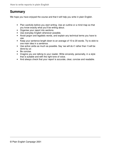## **Summary**

We hope you have enjoyed the course and that it will help you write in plain English.

- Plan carefully before you start writing. Use an outline or a mind map so that you know exactly what you'll be writing about.
- Organise your report into sections.
- Use everyday English whenever possible.
- Avoid jargon and legalistic words, and explain any technical terms you have to use.
- Keep your sentence length down to an average of 15 to 20 words. Try to stick to one main idea in a sentence.
- Use active verbs as much as possible. Say 'we will do it' rather than 'it will be done by us'.
- Be concise.
- Imagine you are talking to your reader. Write sincerely, personally, in a style that is suitable and with the right tone of voice.
- And always check that your report is accurate, clear, concise and readable.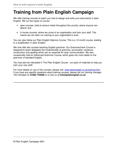# **Training from Plain English Campaign**

We offer training courses to teach you how to design and write your documents in plain English. We run two types of course:

- open courses, held at various hotels throughout the country, where anyone can attend; and
- in-house courses, where we come to an organisation and train your staff. This means we can tailor our training to your organisation's work.

You can also follow our Plain English Diploma Course. This is a 12-month course, leading to a qualification in plain English.

We now offer two courses teaching English grammar. Our Grammarcheck Course is designed to teach delegates the fundamentals of grammar, punctuation, sentence construction and spelling which are so essential for clear communication. We also occasionally hold an Advanced Grammar Course, which goes into more detail on the grammar of standard English.

You may also be interested in The Plain English Course - our pack of materials to help you train your own staff.

For more details on any of the courses, please visit www.plainenglish.co.uk/training.html. If you have any specific questions about training courses, please call our training manager Terri Schabel on **01663 744409** or e-mail us at **info@plainenglish.co.uk**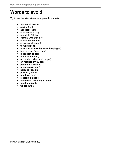## **Words to avoid**

Try to use the alternatives we suggest in brackets:

- **additional (extra)**
- **advise (tell)**
- **applicant (you)**
- **commence (start)**
- **complete (fill in)**
- **comply with (keep to)**
- **consequently (so)**
- **ensure (make sure)**
- **forward (send)**
- **in accordance with (under, keeping to)**
- **in excess of (more than)**
- **in respect of (for)**
- **in the event of (if)**
- **on receipt (when we/you get)**
- **on request (if you ask)**
- **particulars (details)**
- **per annum (a year)**
- **persons (people)**
- **prior to (before)**
- **purchase (buy)**
- **regarding (about)**
- **should you wish (if you wish)**
- **terminate (end)**
- **whilst (while)**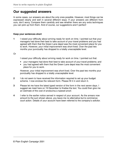## **Our suggested answers**

In some cases, our answers are about the only ones possible. However, most things can be expressed clearly and well in several different ways. If your answers are different from ours, don't worry. Compare them carefully and see whether there are any extra techniques you can pick up from them. And of course, our suggestions aren't perfect!

#### **Keep your sentences short**

**1** I raised your difficulty about arriving ready for work on time. I pointed out that your managers had done their best to take account of your travel problems and you had agreed with them that the Green Lane depot was the most convenient place for you to work. However, your initial improvement was short-lived. Over the past two months your punctuality has dropped to a totally unacceptable level.

Or

I raised your difficulty about arriving ready for work on time. I pointed out that:

- your managers had done their best to take account of your travel problems; and
- you had agreed with them that the Green Lane depot was the most convenient place for you to work.

However, your initial improvement was short-lived. Over the past two months your punctuality has dropped to a totally unacceptable level.

- **2** I do not seem to have received the information required to set up your budget scheme. I now enclose the relevant form. Please fill it in and return it.
- **3** Please let me have the latest typed version of the form in the next seven days. I suggest we meet here on 19 December to finalise the text. You could then give me an estimate of the cost of producing a typeset proof.
- **4** I refer to the earlier notice served in respect of your account. As the arrears now amount to the sum shown above, you leave me no alternative but to commence court action. Details of your account have been referred to the company's solicitor.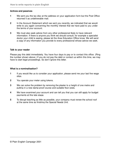#### **Actives and passives**

- **1** We sent you the tax disc at the address on your application form but the Post Office returned it as undeliverable mail.
- **2** In the Account Statement which we sent you recently, we indicated that we would write to you again concerning the monthly interest that we have paid to you under the terms of your account.
- **3** We must also seek advice from any other professional likely to have relevant information. If there is anyone you think we should consult, for example a specialist doctor your child is seeing, please let the Area Education Office know. We will send a copy of any information you provide to every professional whose advice we seek.

#### **Talk to your reader**

Please pay this debt immediately. You have four days to pay or to contact this office. (Ring the number shown above.) If you do not pay the debt or contact us within this time, we may have to start legal proceedings. So don't ignore this letter.

#### **What is a nominalisation?**

- **1** If you would like us to consider your application, please send me your last five wage slips.
- **2** You operate your meter using tokens.
- **3** We can solve the problem by removing the plaster to a height of one metre and putting in a new damp-proof course and suitable floor joists.
- **4** We have examined your account and can tell you that you can still apply for budget payments at this late stage.
- **5** To disrupt teaching as little as possible, your company must renew the school roof at the same time as finishing the Special Needs Unit.